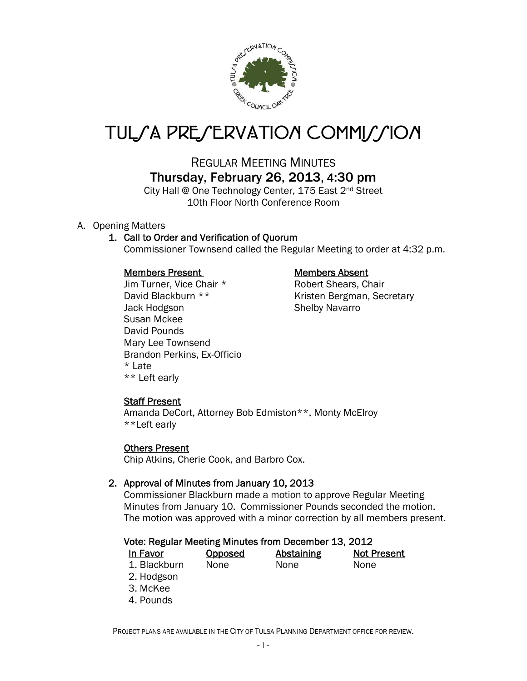

# TUL*SA PRESERVATION COMMISSION*

## REGULAR MEETING MINUTES Thursday, February 26, 2013, 4:30 pm

City Hall @ One Technology Center, 175 East 2nd Street 10th Floor North Conference Room

A. Opening Matters

#### 1. Call to Order and Verification of Quorum

Commissioner Townsend called the Regular Meeting to order at 4:32 p.m.

#### Members Present Members Absent

Jim Turner, Vice Chair \* Robert Shears, Chair Jack Hodgson Shelby Navarro Susan Mckee David Pounds Mary Lee Townsend Brandon Perkins, Ex-Officio \* Late \*\* Left early

David Blackburn \*\* Kristen Bergman, Secretary

### Staff Present

Amanda DeCort, Attorney Bob Edmiston\*\*, Monty McElroy \*\*Left early

#### Others Present

Chip Atkins, Cherie Cook, and Barbro Cox.

#### 2. Approval of Minutes from January 10, 2013

Commissioner Blackburn made a motion to approve Regular Meeting Minutes from January 10. Commissioner Pounds seconded the motion. The motion was approved with a minor correction by all members present.

#### Vote: Regular Meeting Minutes from December 13, 2012

| In Favor     | <b>Opposed</b> | Abstaining | <b>Not Present</b> |
|--------------|----------------|------------|--------------------|
| 1. Blackburn | None           | None       | <b>None</b>        |

- 2. Hodgson
- 3. McKee
- 4. Pounds

PROJECT PLANS ARE AVAILABLE IN THE CITY OF TULSA PLANNING DEPARTMENT OFFICE FOR REVIEW.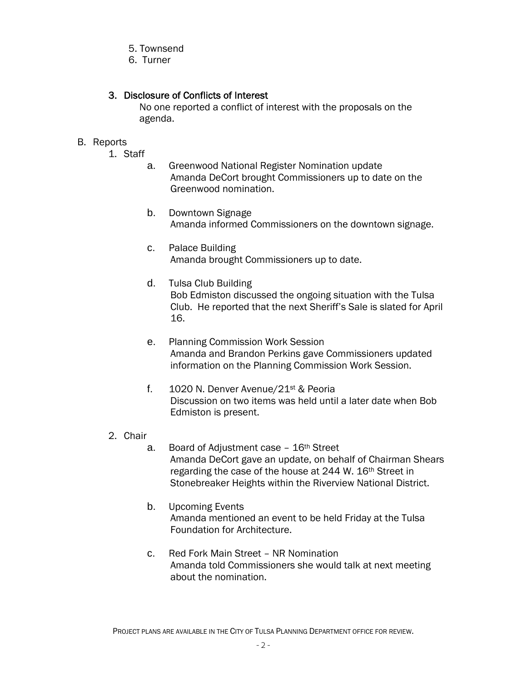- 5. Townsend
- 6. Turner

#### 3. Disclosure of Conflicts of Interest

 No one reported a conflict of interest with the proposals on the agenda.

#### B. Reports

- 1. Staff
	- a. Greenwood National Register Nomination update Amanda DeCort brought Commissioners up to date on the Greenwood nomination.
	- b. Downtown Signage Amanda informed Commissioners on the downtown signage.
	- c. Palace Building Amanda brought Commissioners up to date.
	- d. Tulsa Club Building Bob Edmiston discussed the ongoing situation with the Tulsa Club. He reported that the next Sheriff's Sale is slated for April 16.
	- e. Planning Commission Work Session Amanda and Brandon Perkins gave Commissioners updated information on the Planning Commission Work Session.
	- f. 1020 N. Denver Avenue/21st & Peoria Discussion on two items was held until a later date when Bob Edmiston is present.
- 2. Chair
	- a. Board of Adjustment case 16th Street Amanda DeCort gave an update, on behalf of Chairman Shears regarding the case of the house at 244 W. 16<sup>th</sup> Street in Stonebreaker Heights within the Riverview National District.
	- b. Upcoming Events Amanda mentioned an event to be held Friday at the Tulsa Foundation for Architecture.
	- c. Red Fork Main Street NR Nomination Amanda told Commissioners she would talk at next meeting about the nomination.